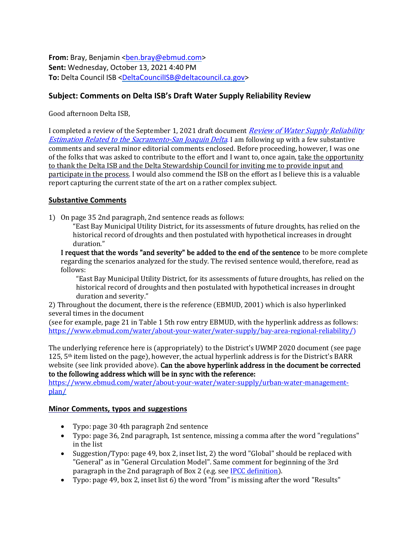**From:** Bray, Benjamin <br />ben.bray@ebmud.com> **Sent:** Wednesday, October 13, 2021 4:40 PM **To:** Delta Council ISB [<DeltaCouncilISB@deltacouncil.ca.gov>](mailto:DeltaCouncilISB@deltacouncil.ca.gov)

## **Subject: Comments on Delta ISB's Draft Water Supply Reliability Review**

Good afternoon Delta ISB,

I completed a review of the September 1, 2021 draft document [Review of Water Supply Reliability](https://deltacouncil.ca.gov/pdf/isb/meeting-materials/2021-09-01-isb-draft-water-supply-review.pdf) **Estimation Related to the [Sacramento-San](https://deltacouncil.ca.gov/pdf/isb/meeting-materials/2021-09-01-isb-draft-water-supply-review.pdf) Joaquin Delta**[.](https://deltacouncil.ca.gov/pdf/isb/meeting-materials/2021-09-01-isb-draft-water-supply-review.pdf) I am following up with a few substantive comments and several minor editorial comments enclosed. Before proceeding, however, I was one of the folks that was asked to contribute to the effort and I want to, once again, take the opportunity to thank the Delta ISB and the Delta Stewardship Council for inviting me to provide input and participate in the process. I would also commend the ISB on the effort as I believe this is a valuable report capturing the current state of the art on a rather complex subject.

## **Substantive Comments**

1) On page 35 2nd paragraph, 2nd sentence reads as follows:

"East Bay Municipal Utility District, for its assessments of future droughts, has relied on the historical record of droughts and then postulated with hypothetical increases in drought duration."

I request that the words "and severity" be added to the end of the sentence to be more complete regarding the scenarios analyzed for the study. The revised sentence would, therefore, read as follows:

"East Bay Municipal Utility District, for its assessments of future droughts, has relied on the historical record of droughts and then postulated with hypothetical increases in drought duration and severity."

2) Throughout the document, there is the reference (EBMUD, 2001) which is also hyperlinked several times in the document

(see for example, page 21 in Table 1 5th row entry EBMUD, with the hyperlink address as follows: [https://www.ebmud.com/water/about-your-water/water-supply/bay-area-regional-reliability/\)](https://www.ebmud.com/water/about-your-water/water-supply/bay-area-regional-reliability/)

The underlying reference here is (appropriately) to the District's UWMP 2020 document (see page 125, 5th item listed on the page), however, the actual hyperlink address is for the District's BARR website (see link provided above). Can the above hyperlink address in the document be corrected to the following address which will be in sync with the reference:

[https://www.ebmud.com/water/about-your-water/water-supply/urban-water-management](https://www.ebmud.com/water/about-your-water/water-supply/urban-water-management-plan/)[plan/](https://www.ebmud.com/water/about-your-water/water-supply/urban-water-management-plan/)

## **Minor Comments, typos and suggestions**

- Typo: page 30 4th paragraph 2nd sentence
- Typo: page 36, 2nd paragraph, 1st sentence, missing a comma after the word "regulations" in the list
- Suggestion/Typo: page 49, box 2, inset list, 2) the word "Global" should be replaced with "General" as in "General Circulation Model". Same comment for beginning of the 3rd paragraph in the 2nd paragraph of Box 2 (e.g. see [IPCC definition\)](https://www.ipcc-data.org/guidelines/pages/gcm_guide.html).
- Typo: page 49, box 2, inset list 6) the word "from" is missing after the word "Results"